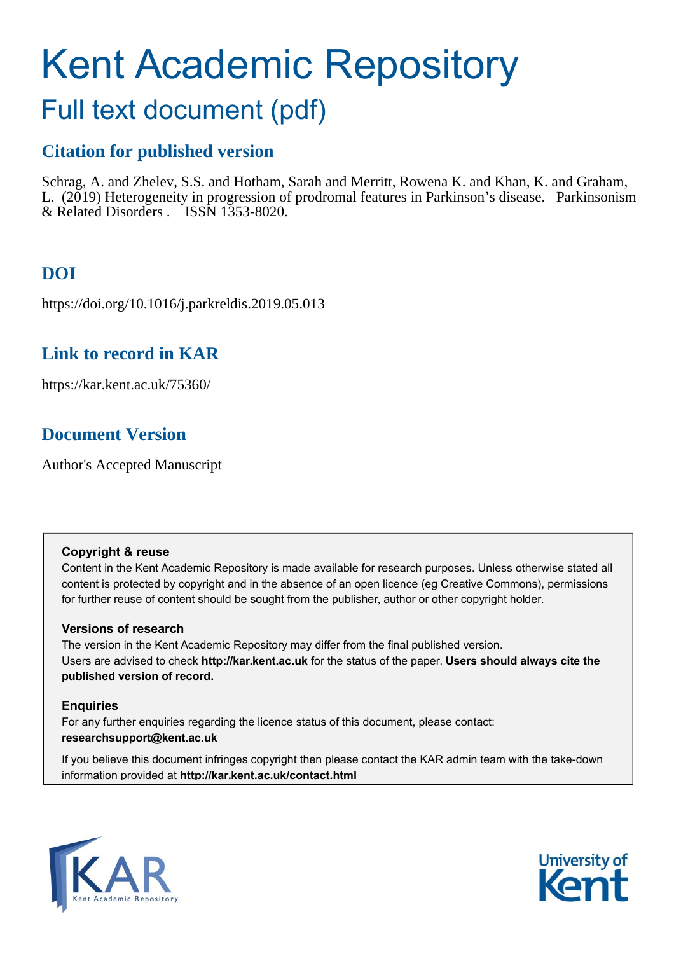# Kent Academic Repository

## Full text document (pdf)

## **Citation for published version**

Schrag, A. and Zhelev, S.S. and Hotham, Sarah and Merritt, Rowena K. and Khan, K. and Graham, L. (2019) Heterogeneity in progression of prodromal features in Parkinson's disease. Parkinsonism & Related Disorders . ISSN 1353-8020.

## **DOI**

https://doi.org/10.1016/j.parkreldis.2019.05.013

## **Link to record in KAR**

https://kar.kent.ac.uk/75360/

## **Document Version**

Author's Accepted Manuscript

#### **Copyright & reuse**

Content in the Kent Academic Repository is made available for research purposes. Unless otherwise stated all content is protected by copyright and in the absence of an open licence (eg Creative Commons), permissions for further reuse of content should be sought from the publisher, author or other copyright holder.

#### **Versions of research**

The version in the Kent Academic Repository may differ from the final published version. Users are advised to check **http://kar.kent.ac.uk** for the status of the paper. **Users should always cite the published version of record.**

#### **Enquiries**

For any further enquiries regarding the licence status of this document, please contact: **researchsupport@kent.ac.uk**

If you believe this document infringes copyright then please contact the KAR admin team with the take-down information provided at **http://kar.kent.ac.uk/contact.html**



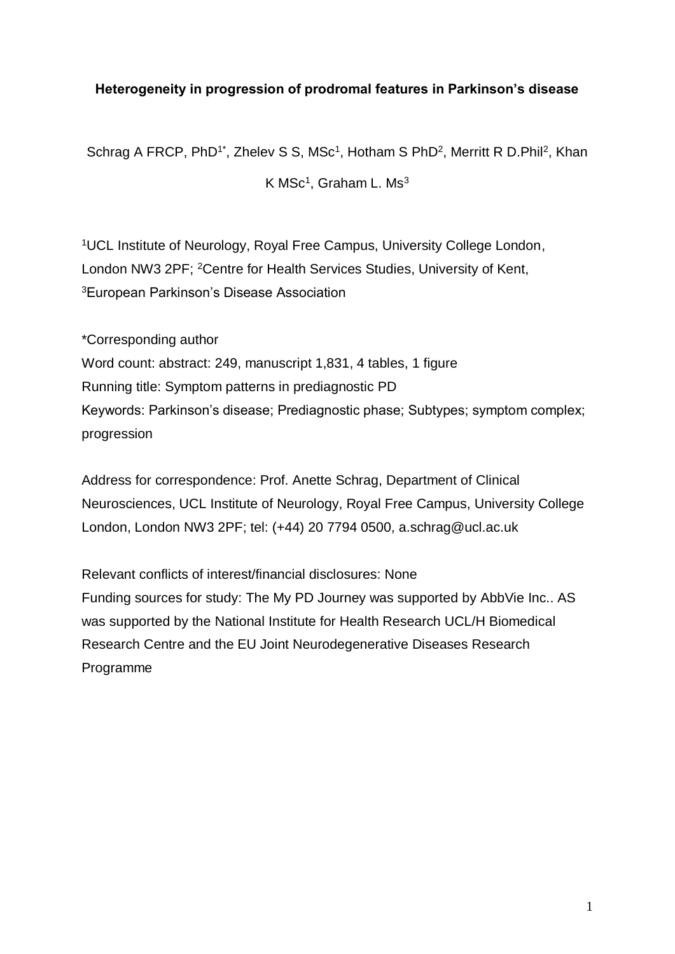#### **Heterogeneity in progression of prodromal features in Parkinson's disease**

Schrag A FRCP, PhD<sup>1\*</sup>, Zhelev S S, MSc<sup>1</sup>, Hotham S PhD<sup>2</sup>, Merritt R D.Phil<sup>2</sup>, Khan

K MSc<sup>1</sup>, Graham L. Ms $^3$ 

<sup>1</sup>UCL Institute of Neurology, Royal Free Campus, University College London, London NW3 2PF: <sup>2</sup>Centre for Health Services Studies, University of Kent, <sup>3</sup>European Parkinson's Disease Association

\*Corresponding author Word count: abstract: 249, manuscript 1,831, 4 tables, 1 figure Running title: Symptom patterns in prediagnostic PD Keywords: Parkinson's disease; Prediagnostic phase; Subtypes; symptom complex; progression

Address for correspondence: Prof. Anette Schrag, Department of Clinical Neurosciences, UCL Institute of Neurology, Royal Free Campus, University College London, London NW3 2PF; tel: (+44) 20 7794 0500, a.schrag@ucl.ac.uk

Relevant conflicts of interest/financial disclosures: None Funding sources for study: The My PD Journey was supported by [AbbVie](http://www.abbvie.co.uk/) Inc.. AS was supported by the National Institute for Health Research UCL/H Biomedical Research Centre and the EU Joint Neurodegenerative Diseases Research Programme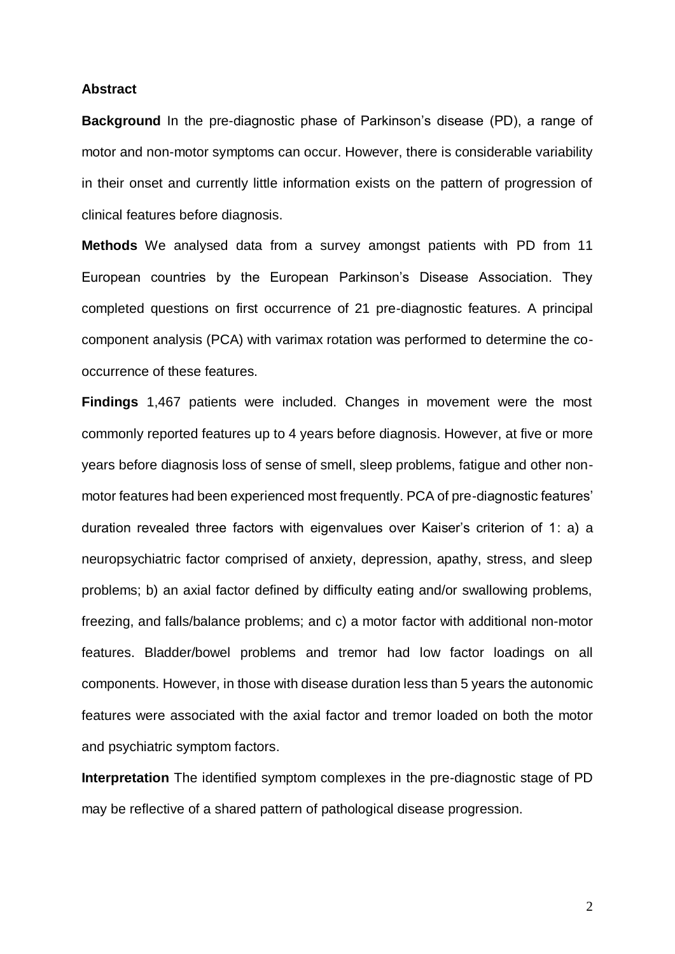#### **Abstract**

**Background** In the pre-diagnostic phase of Parkinson's disease (PD), a range of motor and non-motor symptoms can occur. However, there is considerable variability in their onset and currently little information exists on the pattern of progression of clinical features before diagnosis.

**Methods** We analysed data from a survey amongst patients with PD from 11 European countries by the European Parkinson's Disease Association. They completed questions on first occurrence of 21 pre-diagnostic features. A principal component analysis (PCA) with varimax rotation was performed to determine the cooccurrence of these features.

**Findings** 1,467 patients were included. Changes in movement were the most commonly reported features up to 4 years before diagnosis. However, at five or more years before diagnosis loss of sense of smell, sleep problems, fatigue and other nonmotor features had been experienced most frequently. PCA of pre-diagnostic features' duration revealed three factors with eigenvalues over Kaiser's criterion of 1: a) a neuropsychiatric factor comprised of anxiety, depression, apathy, stress, and sleep problems; b) an axial factor defined by difficulty eating and/or swallowing problems, freezing, and falls/balance problems; and c) a motor factor with additional non-motor features. Bladder/bowel problems and tremor had low factor loadings on all components. However, in those with disease duration less than 5 years the autonomic features were associated with the axial factor and tremor loaded on both the motor and psychiatric symptom factors.

**Interpretation** The identified symptom complexes in the pre-diagnostic stage of PD may be reflective of a shared pattern of pathological disease progression.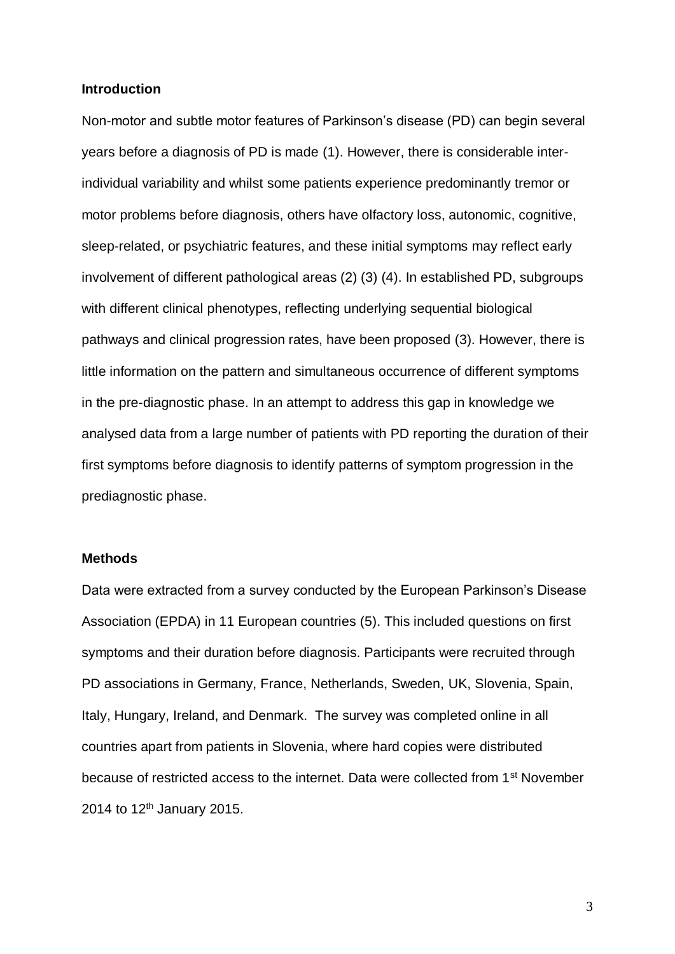#### **Introduction**

Non-motor and subtle motor features of Parkinson's disease (PD) can begin several years before a diagnosis of PD is made (1). However, there is considerable interindividual variability and whilst some patients experience predominantly tremor or motor problems before diagnosis, others have olfactory loss, autonomic, cognitive, sleep-related, or psychiatric features, and these initial symptoms may reflect early involvement of different pathological areas (2) (3) (4). In established PD, subgroups with different clinical phenotypes, reflecting underlying sequential biological pathways and clinical progression rates, have been proposed (3). However, there is little information on the pattern and simultaneous occurrence of different symptoms in the pre-diagnostic phase. In an attempt to address this gap in knowledge we analysed data from a large number of patients with PD reporting the duration of their first symptoms before diagnosis to identify patterns of symptom progression in the prediagnostic phase.

#### **Methods**

Data were extracted from a survey conducted by the European Parkinson's Disease Association (EPDA) in 11 European countries (5). This included questions on first symptoms and their duration before diagnosis. Participants were recruited through PD associations in Germany, France, Netherlands, Sweden, UK, Slovenia, Spain, Italy, Hungary, Ireland, and Denmark. The survey was completed online in all countries apart from patients in Slovenia, where hard copies were distributed because of restricted access to the internet. Data were collected from 1st November 2014 to 12<sup>th</sup> January 2015.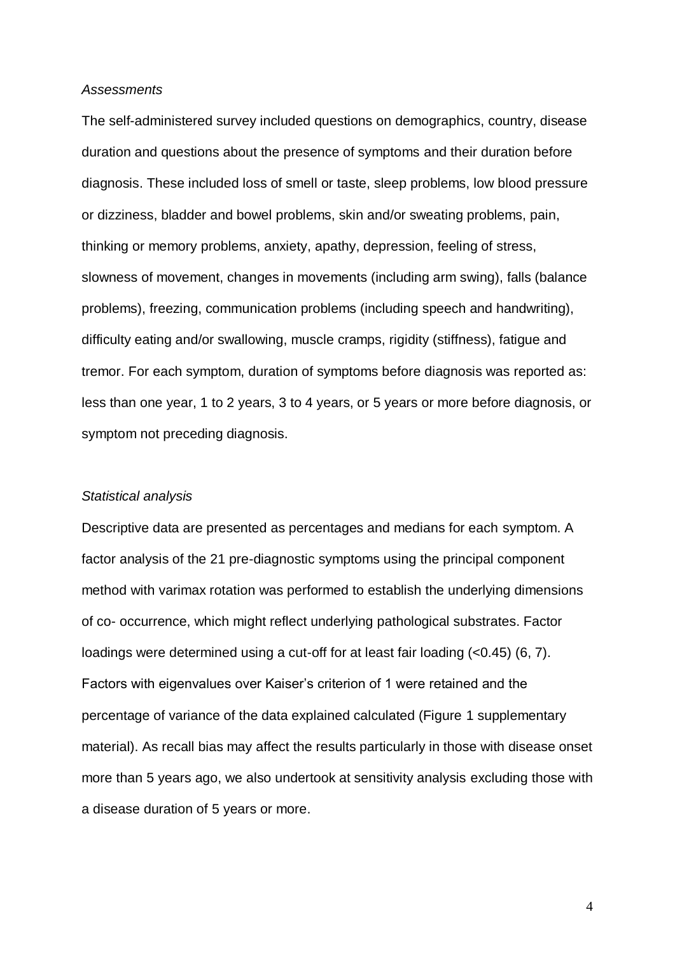#### *Assessments*

The self-administered survey included questions on demographics, country, disease duration and questions about the presence of symptoms and their duration before diagnosis. These included loss of smell or taste, sleep problems, low blood pressure or dizziness, bladder and bowel problems, skin and/or sweating problems, pain, thinking or memory problems, anxiety, apathy, depression, feeling of stress, slowness of movement, changes in movements (including arm swing), falls (balance problems), freezing, communication problems (including speech and handwriting), difficulty eating and/or swallowing, muscle cramps, rigidity (stiffness), fatigue and tremor. For each symptom, duration of symptoms before diagnosis was reported as: less than one year, 1 to 2 years, 3 to 4 years, or 5 years or more before diagnosis, or symptom not preceding diagnosis.

#### *Statistical analysis*

Descriptive data are presented as percentages and medians for each symptom. A factor analysis of the 21 pre-diagnostic symptoms using the principal component method with varimax rotation was performed to establish the underlying dimensions of co- occurrence, which might reflect underlying pathological substrates. Factor loadings were determined using a cut-off for at least fair loading (<0.45) (6, 7). Factors with eigenvalues over Kaiser's criterion of 1 were retained and the percentage of variance of the data explained calculated (Figure 1 supplementary material). As recall bias may affect the results particularly in those with disease onset more than 5 years ago, we also undertook at sensitivity analysis excluding those with a disease duration of 5 years or more.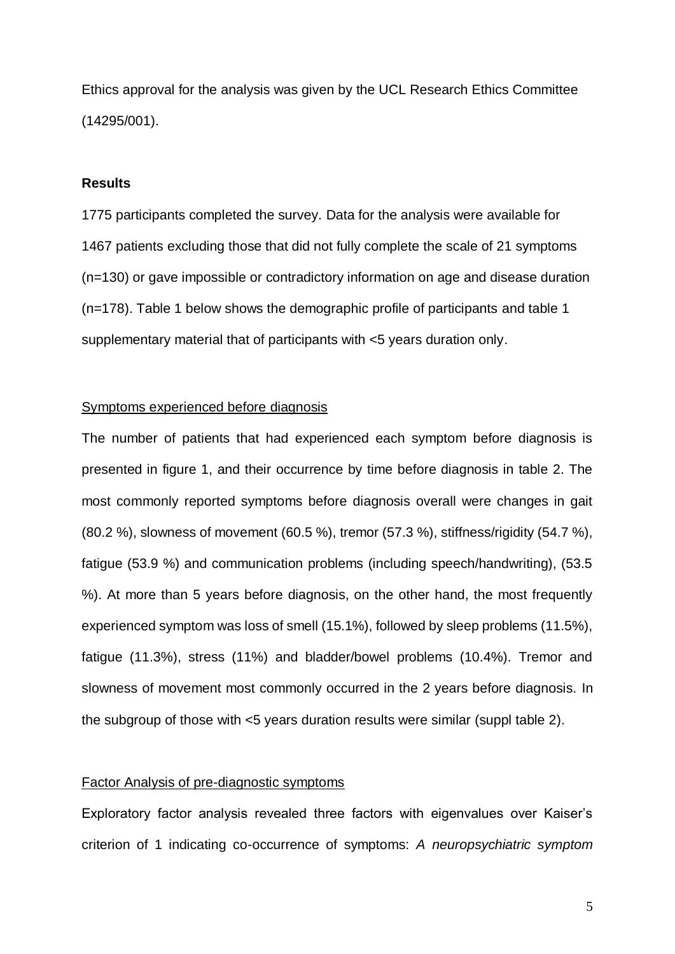Ethics approval for the analysis was given by the UCL Research Ethics Committee (14295/001).

#### **Results**

1775 participants completed the survey. Data for the analysis were available for 1467 patients excluding those that did not fully complete the scale of 21 symptoms (n=130) or gave impossible or contradictory information on age and disease duration (n=178). Table 1 below shows the demographic profile of participants and table 1 supplementary material that of participants with <5 years duration only.

#### Symptoms experienced before diagnosis

The number of patients that had experienced each symptom before diagnosis is presented in figure 1, and their occurrence by time before diagnosis in table 2. The most commonly reported symptoms before diagnosis overall were changes in gait (80.2 %), slowness of movement (60.5 %), tremor (57.3 %), stiffness/rigidity (54.7 %), fatigue (53.9 %) and communication problems (including speech/handwriting), (53.5 %). At more than 5 years before diagnosis, on the other hand, the most frequently experienced symptom was loss of smell (15.1%), followed by sleep problems (11.5%), fatigue (11.3%), stress (11%) and bladder/bowel problems (10.4%). Tremor and slowness of movement most commonly occurred in the 2 years before diagnosis. In the subgroup of those with <5 years duration results were similar (suppl table 2).

#### Factor Analysis of pre-diagnostic symptoms

Exploratory factor analysis revealed three factors with eigenvalues over Kaiser's criterion of 1 indicating co-occurrence of symptoms: *A neuropsychiatric symptom*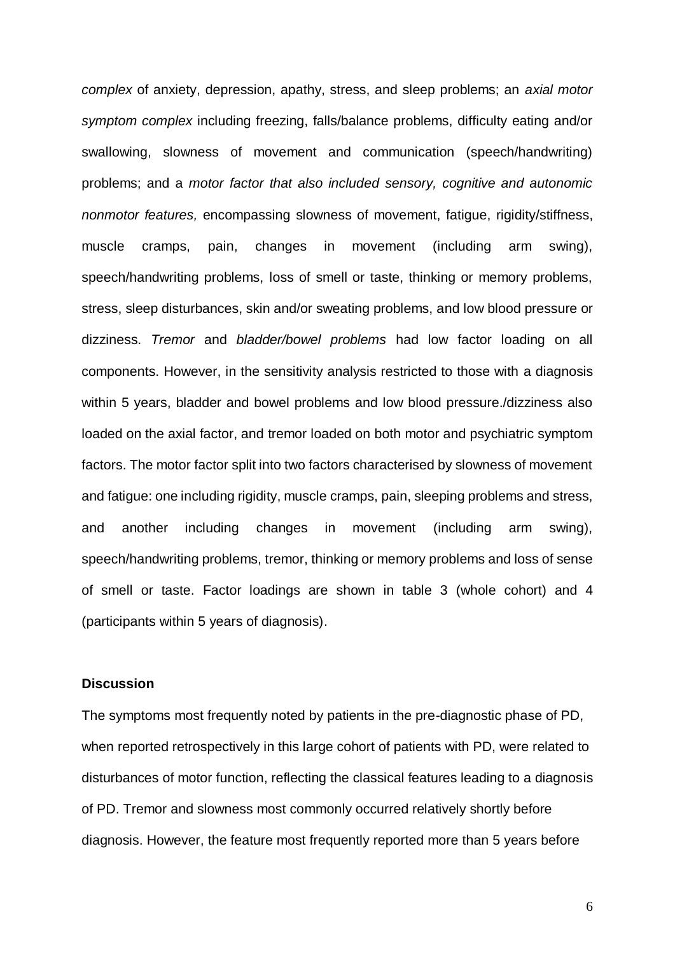*complex* of anxiety, depression, apathy, stress, and sleep problems; an *axial motor symptom complex* including freezing, falls/balance problems, difficulty eating and/or swallowing, slowness of movement and communication (speech/handwriting) problems; and a *motor factor that also included sensory, cognitive and autonomic nonmotor features,* encompassing slowness of movement, fatigue, rigidity/stiffness, muscle cramps, pain, changes in movement (including arm swing), speech/handwriting problems, loss of smell or taste, thinking or memory problems, stress, sleep disturbances, skin and/or sweating problems, and low blood pressure or dizziness. *Tremor* and *bladder/bowel problems* had low factor loading on all components. However, in the sensitivity analysis restricted to those with a diagnosis within 5 years, bladder and bowel problems and low blood pressure./dizziness also loaded on the axial factor, and tremor loaded on both motor and psychiatric symptom factors. The motor factor split into two factors characterised by slowness of movement and fatigue: one including rigidity, muscle cramps, pain, sleeping problems and stress, and another including changes in movement (including arm swing), speech/handwriting problems, tremor, thinking or memory problems and loss of sense of smell or taste. Factor loadings are shown in table 3 (whole cohort) and 4 (participants within 5 years of diagnosis).

#### **Discussion**

The symptoms most frequently noted by patients in the pre-diagnostic phase of PD, when reported retrospectively in this large cohort of patients with PD, were related to disturbances of motor function, reflecting the classical features leading to a diagnosis of PD. Tremor and slowness most commonly occurred relatively shortly before diagnosis. However, the feature most frequently reported more than 5 years before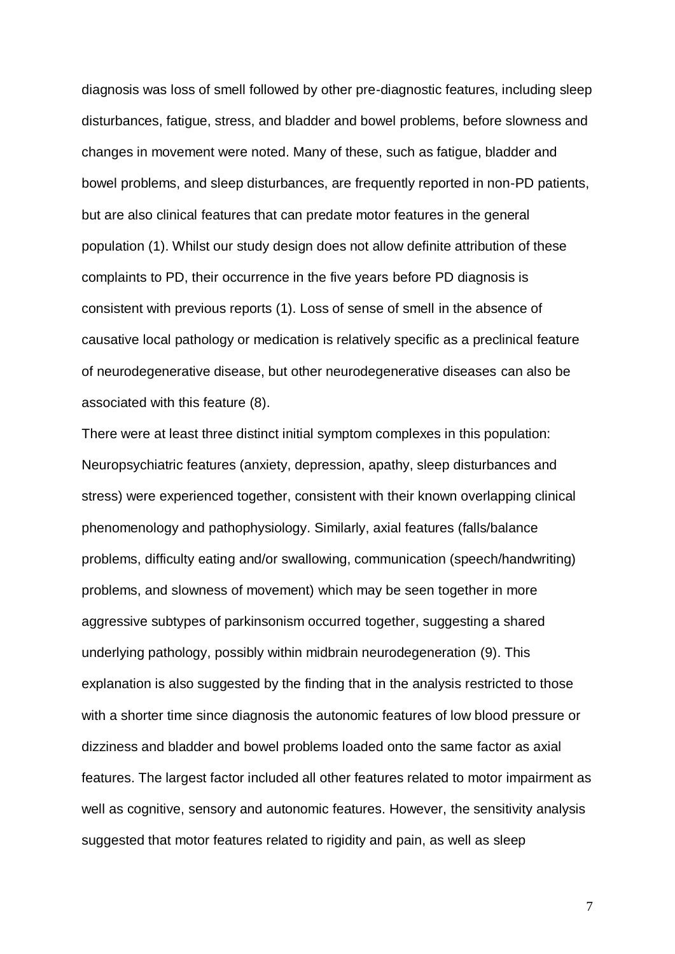diagnosis was loss of smell followed by other pre-diagnostic features, including sleep disturbances, fatigue, stress, and bladder and bowel problems, before slowness and changes in movement were noted. Many of these, such as fatigue, bladder and bowel problems, and sleep disturbances, are frequently reported in non-PD patients, but are also clinical features that can predate motor features in the general population (1). Whilst our study design does not allow definite attribution of these complaints to PD, their occurrence in the five years before PD diagnosis is consistent with previous reports (1). Loss of sense of smell in the absence of causative local pathology or medication is relatively specific as a preclinical feature of neurodegenerative disease, but other neurodegenerative diseases can also be associated with this feature (8).

There were at least three distinct initial symptom complexes in this population: Neuropsychiatric features (anxiety, depression, apathy, sleep disturbances and stress) were experienced together, consistent with their known overlapping clinical phenomenology and pathophysiology. Similarly, axial features (falls/balance problems, difficulty eating and/or swallowing, communication (speech/handwriting) problems, and slowness of movement) which may be seen together in more aggressive subtypes of parkinsonism occurred together, suggesting a shared underlying pathology, possibly within midbrain neurodegeneration (9). This explanation is also suggested by the finding that in the analysis restricted to those with a shorter time since diagnosis the autonomic features of low blood pressure or dizziness and bladder and bowel problems loaded onto the same factor as axial features. The largest factor included all other features related to motor impairment as well as cognitive, sensory and autonomic features. However, the sensitivity analysis suggested that motor features related to rigidity and pain, as well as sleep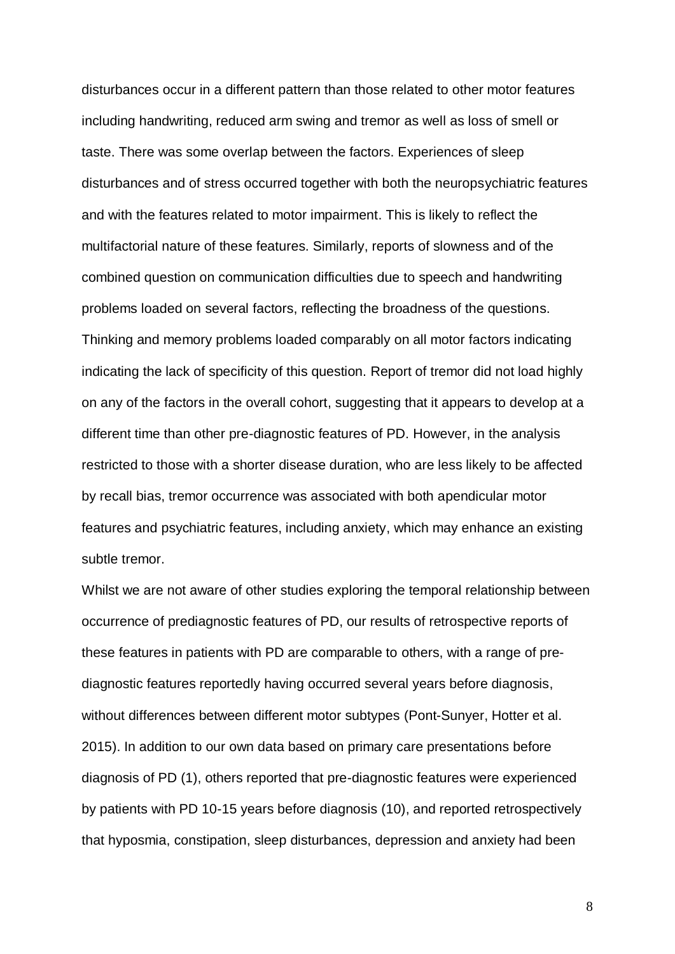disturbances occur in a different pattern than those related to other motor features including handwriting, reduced arm swing and tremor as well as loss of smell or taste. There was some overlap between the factors. Experiences of sleep disturbances and of stress occurred together with both the neuropsychiatric features and with the features related to motor impairment. This is likely to reflect the multifactorial nature of these features. Similarly, reports of slowness and of the combined question on communication difficulties due to speech and handwriting problems loaded on several factors, reflecting the broadness of the questions. Thinking and memory problems loaded comparably on all motor factors indicating indicating the lack of specificity of this question. Report of tremor did not load highly on any of the factors in the overall cohort, suggesting that it appears to develop at a different time than other pre-diagnostic features of PD. However, in the analysis restricted to those with a shorter disease duration, who are less likely to be affected by recall bias, tremor occurrence was associated with both apendicular motor features and psychiatric features, including anxiety, which may enhance an existing subtle tremor.

Whilst we are not aware of other studies exploring the temporal relationship between occurrence of prediagnostic features of PD, our results of retrospective reports of these features in patients with PD are comparable to others, with a range of prediagnostic features reportedly having occurred several years before diagnosis, without differences between different motor subtypes (Pont-Sunyer, Hotter et al. 2015). In addition to our own data based on primary care presentations before diagnosis of PD (1), others reported that pre-diagnostic features were experienced by patients with PD 10-15 years before diagnosis (10), and reported retrospectively that hyposmia, constipation, sleep disturbances, depression and anxiety had been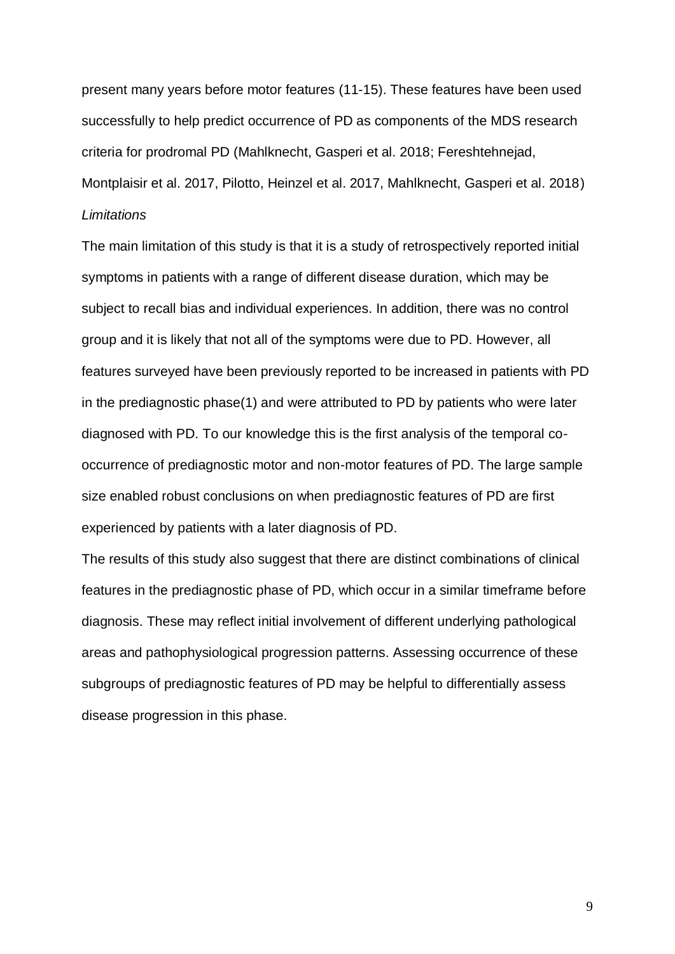present many years before motor features (11-15). These features have been used successfully to help predict occurrence of PD as components of the MDS research criteria for prodromal PD (Mahlknecht, Gasperi et al. 2018; Fereshtehnejad, Montplaisir et al. 2017, Pilotto, Heinzel et al. 2017, Mahlknecht, Gasperi et al. 2018) *Limitations*

The main limitation of this study is that it is a study of retrospectively reported initial symptoms in patients with a range of different disease duration, which may be subject to recall bias and individual experiences. In addition, there was no control group and it is likely that not all of the symptoms were due to PD. However, all features surveyed have been previously reported to be increased in patients with PD in the prediagnostic phase(1) and were attributed to PD by patients who were later diagnosed with PD. To our knowledge this is the first analysis of the temporal cooccurrence of prediagnostic motor and non-motor features of PD. The large sample size enabled robust conclusions on when prediagnostic features of PD are first experienced by patients with a later diagnosis of PD.

The results of this study also suggest that there are distinct combinations of clinical features in the prediagnostic phase of PD, which occur in a similar timeframe before diagnosis. These may reflect initial involvement of different underlying pathological areas and pathophysiological progression patterns. Assessing occurrence of these subgroups of prediagnostic features of PD may be helpful to differentially assess disease progression in this phase.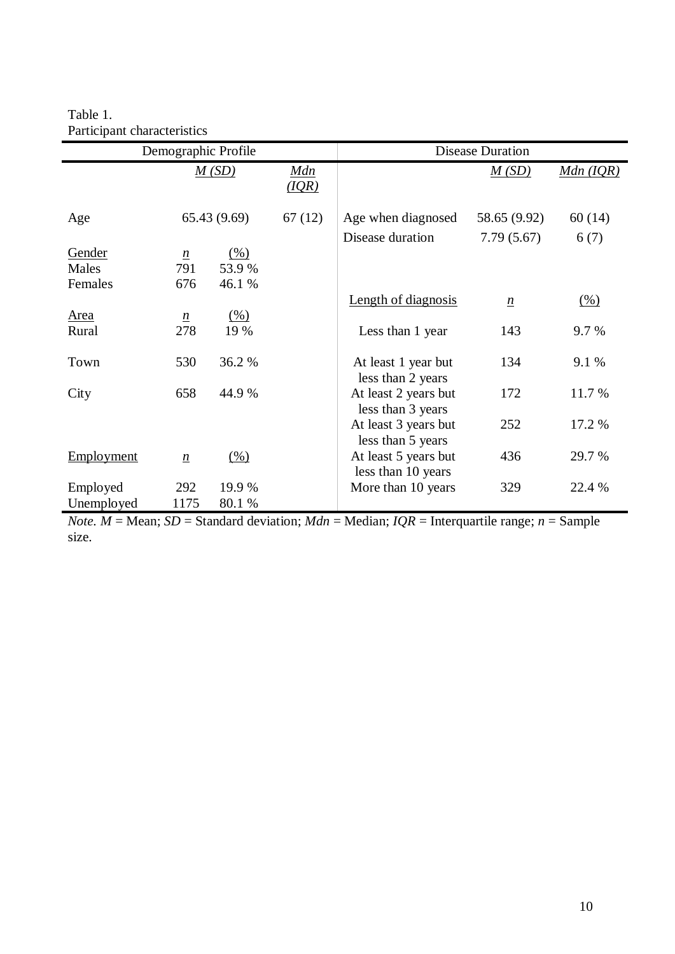Table 1. Participant characteristics

| Demographic Profile        |                               |                         |                     | <b>Disease Duration</b>                    |                 |                 |  |
|----------------------------|-------------------------------|-------------------------|---------------------|--------------------------------------------|-----------------|-----------------|--|
|                            |                               | M(SD)                   | <u>Mdn</u><br>(IOR) |                                            | M(SD)           | $Mdn (IQR)$     |  |
| Age                        |                               | 65.43(9.69)             | 67(12)              | Age when diagnosed                         | 58.65 (9.92)    | 60(14)          |  |
|                            |                               |                         |                     | Disease duration                           | 7.79(5.67)      | 6(7)            |  |
| Gender<br>Males<br>Females | $\underline{n}$<br>791<br>676 | (% )<br>53.9%<br>46.1 % |                     |                                            |                 |                 |  |
|                            |                               |                         |                     | Length of diagnosis                        | $\underline{n}$ | $\frac{(0)}{0}$ |  |
| <b>Area</b><br>Rural       | $\underline{n}$<br>278        | (% )<br>19 %            |                     | Less than 1 year                           | 143             | 9.7 %           |  |
| Town                       | 530                           | 36.2 %                  |                     | At least 1 year but<br>less than 2 years   | 134             | 9.1 %           |  |
| City                       | 658                           | 44.9 %                  |                     | At least 2 years but<br>less than 3 years  | 172             | 11.7 %          |  |
|                            |                               |                         |                     | At least 3 years but<br>less than 5 years  | 252             | 17.2 %          |  |
| <b>Employment</b>          | $\underline{n}$               | (% )                    |                     | At least 5 years but<br>less than 10 years | 436             | 29.7 %          |  |
| Employed                   | 292                           | 19.9 %                  |                     | More than 10 years                         | 329             | 22.4 %          |  |
| Unemployed                 | 1175                          | 80.1 %                  |                     |                                            |                 |                 |  |

*Note.*  $M = \text{Mean}$ ;  $SD = \text{Standard deviation}$ ;  $Mdn = \text{Median}$ ;  $IQR = \text{Interquartile range}$ ;  $n = \text{Sample}$ size.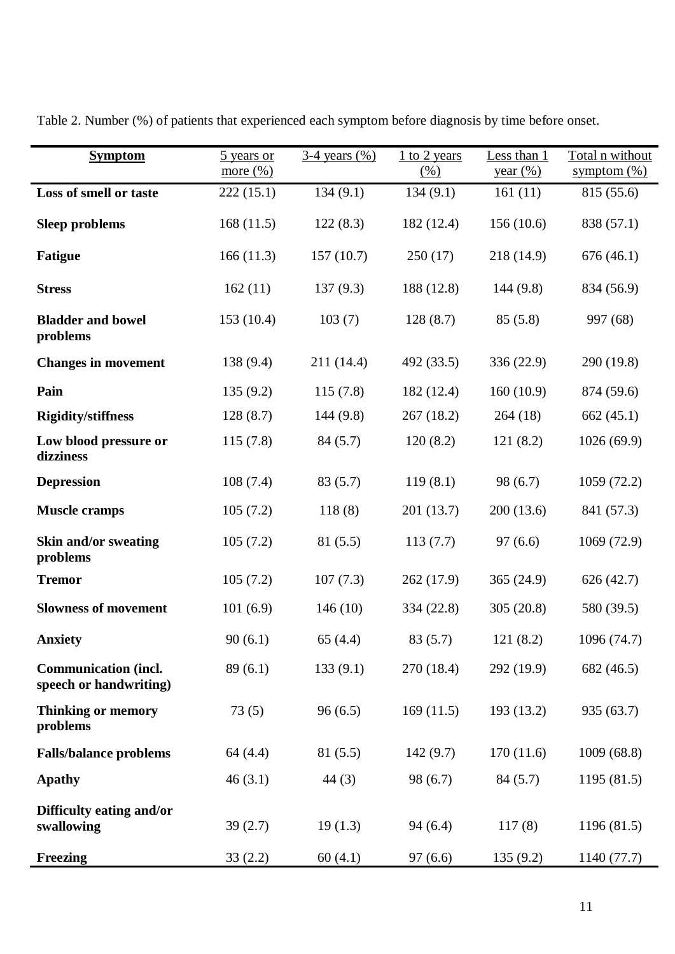| <b>Symptom</b>                                        | 5 years or<br>more $(\% )$ | <u>3-4 years (%)</u> | $1$ to 2 years<br>$\frac{(0)}{6}$ | Less than 1<br>year (%) | Total n without<br>symptom $(\%)$ |
|-------------------------------------------------------|----------------------------|----------------------|-----------------------------------|-------------------------|-----------------------------------|
| Loss of smell or taste                                | 222(15.1)                  | 134(9.1)             | 134(9.1)                          | 161(11)                 | 815 (55.6)                        |
| <b>Sleep problems</b>                                 | 168(11.5)                  | 122(8.3)             | 182 (12.4)                        | 156(10.6)               | 838 (57.1)                        |
| <b>Fatigue</b>                                        | 166(11.3)                  | 157(10.7)            | 250(17)                           | 218 (14.9)              | 676(46.1)                         |
| <b>Stress</b>                                         | 162(11)                    | 137(9.3)             | 188 (12.8)                        | 144(9.8)                | 834 (56.9)                        |
| <b>Bladder and bowel</b><br>problems                  | 153(10.4)                  | 103(7)               | 128(8.7)                          | 85(5.8)                 | 997 (68)                          |
| <b>Changes in movement</b>                            | 138 (9.4)                  | 211(14.4)            | 492 (33.5)                        | 336(22.9)               | 290 (19.8)                        |
| Pain                                                  | 135(9.2)                   | 115(7.8)             | 182 (12.4)                        | 160(10.9)               | 874 (59.6)                        |
| <b>Rigidity/stiffness</b>                             | 128(8.7)                   | 144(9.8)             | 267(18.2)                         | 264(18)                 | 662(45.1)                         |
| Low blood pressure or<br>dizziness                    | 115(7.8)                   | 84(5.7)              | 120(8.2)                          | 121(8.2)                | 1026 (69.9)                       |
| <b>Depression</b>                                     | 108(7.4)                   | 83(5.7)              | 119(8.1)                          | 98 (6.7)                | 1059 (72.2)                       |
| <b>Muscle cramps</b>                                  | 105(7.2)                   | 118(8)               | 201 (13.7)                        | 200(13.6)               | 841 (57.3)                        |
| <b>Skin and/or sweating</b><br>problems               | 105(7.2)                   | 81(5.5)              | 113(7.7)                          | 97(6.6)                 | 1069 (72.9)                       |
| <b>Tremor</b>                                         | 105(7.2)                   | 107(7.3)             | 262 (17.9)                        | 365(24.9)               | 626(42.7)                         |
| <b>Slowness of movement</b>                           | 101(6.9)                   | 146(10)              | 334 (22.8)                        | 305(20.8)               | 580 (39.5)                        |
| <b>Anxiety</b>                                        | 90(6.1)                    | 65(4.4)              | 83(5.7)                           | 121(8.2)                | 1096 (74.7)                       |
| <b>Communication (incl.</b><br>speech or handwriting) | 89(6.1)                    | 133(9.1)             | 270 (18.4)                        | 292 (19.9)              | 682 (46.5)                        |
| <b>Thinking or memory</b><br>problems                 | 73(5)                      | 96(6.5)              | 169(11.5)                         | 193 (13.2)              | 935 (63.7)                        |
| <b>Falls/balance problems</b>                         | 64 (4.4)                   | 81(5.5)              | 142(9.7)                          | 170(11.6)               | 1009(68.8)                        |
| <b>Apathy</b>                                         | 46(3.1)                    | 44(3)                | 98 (6.7)                          | 84(5.7)                 | 1195 (81.5)                       |
| Difficulty eating and/or<br>swallowing                | 39(2.7)                    | 19(1.3)              | 94(6.4)                           | 117(8)                  | 1196 (81.5)                       |
| Freezing                                              | 33(2.2)                    | 60(4.1)              | 97(6.6)                           | 135(9.2)                | 1140 (77.7)                       |

Table 2. Number (%) of patients that experienced each symptom before diagnosis by time before onset.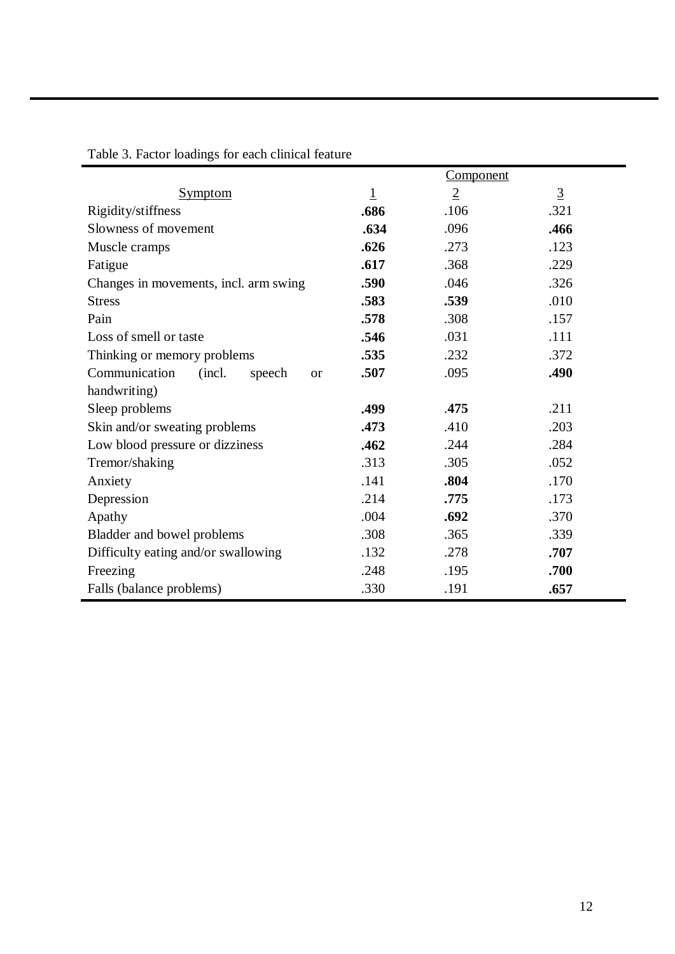|                                                |                | <b>Component</b> |                |
|------------------------------------------------|----------------|------------------|----------------|
| <b>Symptom</b>                                 | $\overline{1}$ | $\overline{2}$   | $\overline{3}$ |
| Rigidity/stiffness                             | .686           | .106             | .321           |
| Slowness of movement                           | .634           | .096             | .466           |
| Muscle cramps                                  | .626           | .273             | .123           |
| Fatigue                                        | .617           | .368             | .229           |
| Changes in movements, incl. arm swing          | .590           | .046             | .326           |
| <b>Stress</b>                                  | .583           | .539             | .010           |
| Pain                                           | .578           | .308             | .157           |
| Loss of smell or taste                         | .546           | .031             | .111           |
| Thinking or memory problems                    | .535           | .232             | .372           |
| Communication<br>(incl.<br>speech<br><b>or</b> | .507           | .095             | .490           |
| handwriting)                                   |                |                  |                |
| Sleep problems                                 | .499           | .475             | .211           |
| Skin and/or sweating problems                  | .473           | .410             | .203           |
| Low blood pressure or dizziness                | .462           | .244             | .284           |
| Tremor/shaking                                 | .313           | .305             | .052           |
| Anxiety                                        | .141           | .804             | .170           |
| Depression                                     | .214           | .775             | .173           |
| Apathy                                         | .004           | .692             | .370           |
| Bladder and bowel problems                     | .308           | .365             | .339           |
| Difficulty eating and/or swallowing            | .132           | .278             | .707           |
| Freezing                                       | .248           | .195             | .700           |
| Falls (balance problems)                       | .330           | .191             | .657           |

Table 3. Factor loadings for each clinical feature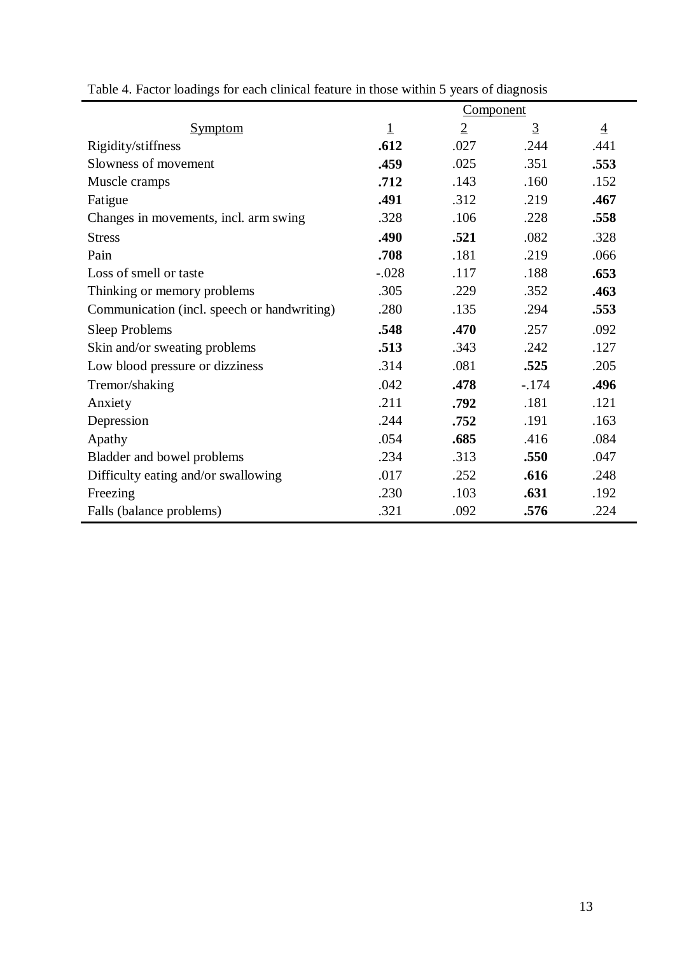|                                             | <b>Component</b> |                |                |                |
|---------------------------------------------|------------------|----------------|----------------|----------------|
| Symptom                                     | 1                | $\overline{2}$ | $\overline{3}$ | $\overline{4}$ |
| Rigidity/stiffness                          | .612             | .027           | .244           | .441           |
| Slowness of movement                        | .459             | .025           | .351           | .553           |
| Muscle cramps                               | .712             | .143           | .160           | .152           |
| Fatigue                                     | .491             | .312           | .219           | .467           |
| Changes in movements, incl. arm swing       | .328             | .106           | .228           | .558           |
| <b>Stress</b>                               | .490             | .521           | .082           | .328           |
| Pain                                        | .708             | .181           | .219           | .066           |
| Loss of smell or taste                      | $-.028$          | .117           | .188           | .653           |
| Thinking or memory problems                 | .305             | .229           | .352           | .463           |
| Communication (incl. speech or handwriting) | .280             | .135           | .294           | .553           |
| <b>Sleep Problems</b>                       | .548             | .470           | .257           | .092           |
| Skin and/or sweating problems               | .513             | .343           | .242           | .127           |
| Low blood pressure or dizziness             | .314             | .081           | .525           | .205           |
| Tremor/shaking                              | .042             | .478           | $-.174$        | .496           |
| Anxiety                                     | .211             | .792           | .181           | .121           |
| Depression                                  | .244             | .752           | .191           | .163           |
| Apathy                                      | .054             | .685           | .416           | .084           |
| Bladder and bowel problems                  | .234             | .313           | .550           | .047           |
| Difficulty eating and/or swallowing         | .017             | .252           | .616           | .248           |
| Freezing                                    | .230             | .103           | .631           | .192           |
| Falls (balance problems)                    | .321             | .092           | .576           | .224           |

Table 4. Factor loadings for each clinical feature in those within 5 years of diagnosis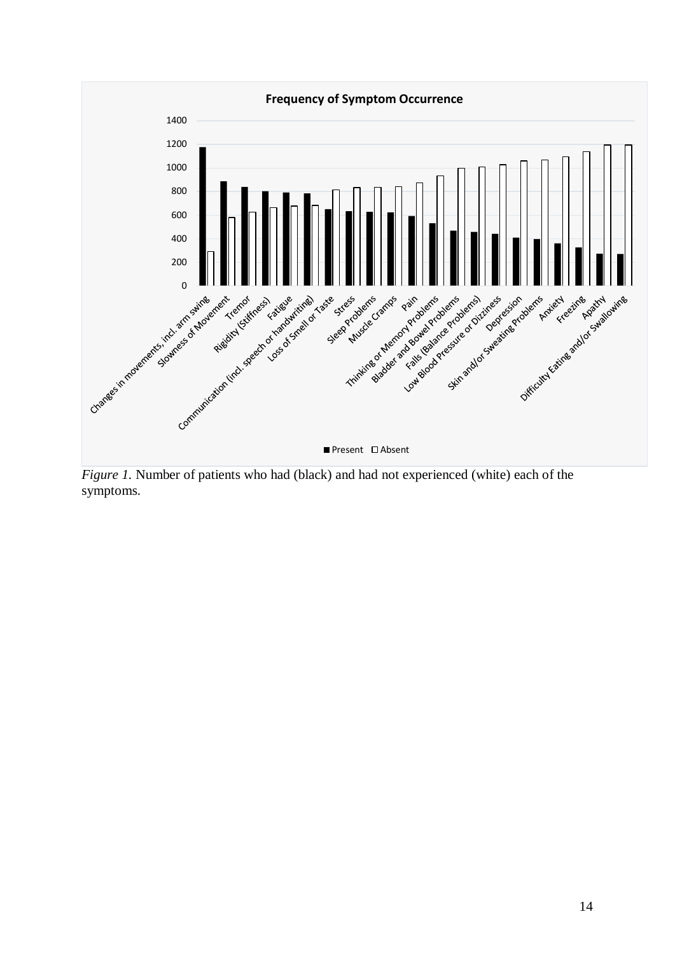

*Figure 1.* Number of patients who had (black) and had not experienced (white) each of the symptoms.